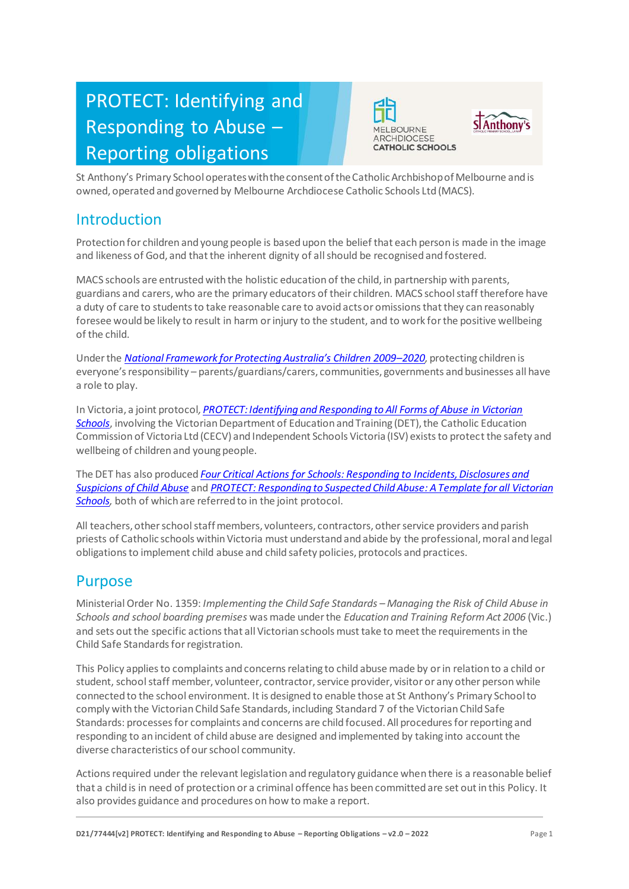# PROTECT: Identifying and Responding to Abuse – Reporting obligations





St Anthony's Primary School operates with the consent of the Catholic Archbishop of Melbourne and is owned, operated and governed by Melbourne Archdiocese Catholic Schools Ltd (MACS).

# Introduction

Protection for children and young people is based upon the belief that each person is made in the image and likeness of God, and that the inherent dignity of all should be recognised and fostered.

MACS schools are entrusted with the holistic education of the child, in partnership with parents, guardians and carers, who are the primary educators of their children. MACS school staff therefore have a duty of care to students to take reasonable care to avoid acts or omissions that they can reasonably foresee would be likely to result in harm or injury to the student, and to work for the positive wellbeing of the child.

Under the *[National Framework for Protecting Australia's Children 2009–](https://www.dss.gov.au/our-responsibilities/families-and-children/publications-articles/protecting-children-is-everyones-business)202[0,](https://www.dss.gov.au/our-responsibilities/families-and-children/publications-articles/protecting-children-is-everyones-business)* protecting children is everyone's responsibility – parents/guardians/carers, communities, governments and businesses all have a role to play.

In Victoria, a joint protocol*[, PROTECT: Identifying and Responding to All Forms of Abuse in Victorian](http://www.education.vic.gov.au/Documents/about/programs/health/protect/ChildSafeStandard5_SchoolsGuide.pdf)  [Schools](http://www.education.vic.gov.au/Documents/about/programs/health/protect/ChildSafeStandard5_SchoolsGuide.pdf)*[, i](http://www.education.vic.gov.au/Documents/about/programs/health/protect/ChildSafeStandard5_SchoolsGuide.pdf)nvolving the Victorian Department of Education and Training (DET), the Catholic Education Commission of Victoria Ltd (CECV) and Independent Schools Victoria (ISV) exists to protect the safety and wellbeing of children and young people.

The DET has also produced *[Four Critical Actions for Schools: Responding to Incidents, Disclosures and](http://www.education.vic.gov.au/Documents/about/programs/health/protect/FourCriticalActions_ChildAbuse.pdf)  [Suspicions of Child Abuse](http://www.education.vic.gov.au/Documents/about/programs/health/protect/FourCriticalActions_ChildAbuse.pdf)* and *[PROTECT: Responding to Suspected Child Abuse: A Template for all Victorian](http://www.education.vic.gov.au/Documents/about/programs/health/protect/PROTECT_Responding_TemplateSchools.pdf)  [Schools,](http://www.education.vic.gov.au/Documents/about/programs/health/protect/PROTECT_Responding_TemplateSchools.pdf)* both of which are referred to in the joint protocol.

All teachers, other school staff members, volunteers, contractors, other service providers and parish priests of Catholic schools within Victoria must understand and abide by the professional, moral and legal obligations to implement child abuse and child safety policies, protocols and practices.

# Purpose

Ministerial Order No. 1359: *Implementing the Child Safe Standards – Managing the Risk of Child Abuse in Schools and school boarding premises* was made under the *Education and Training Reform Act 2006* (Vic.) and sets out the specific actions that all Victorian schools must take to meet the requirements in the Child Safe Standards for registration.

This Policy applies to complaints and concerns relating to child abuse made by or in relation to a child or student, school staff member, volunteer, contractor, service provider, visitor or any other person while connected to the school environment. It is designed to enable those at St Anthony's Primary Schoolto comply with the Victorian Child Safe Standards, including Standard 7 of the Victorian Child Safe Standards: processes for complaints and concerns are child focused. All procedures for reporting and responding to an incident of child abuse are designed and implemented by taking into account the diverse characteristics of our school community.

Actions required under the relevant legislation and regulatory guidance when there is a reasonable belief that a child is in need of protection or a criminal offence has been committed are set out in this Policy. It also provides guidance and procedures on how to make a report.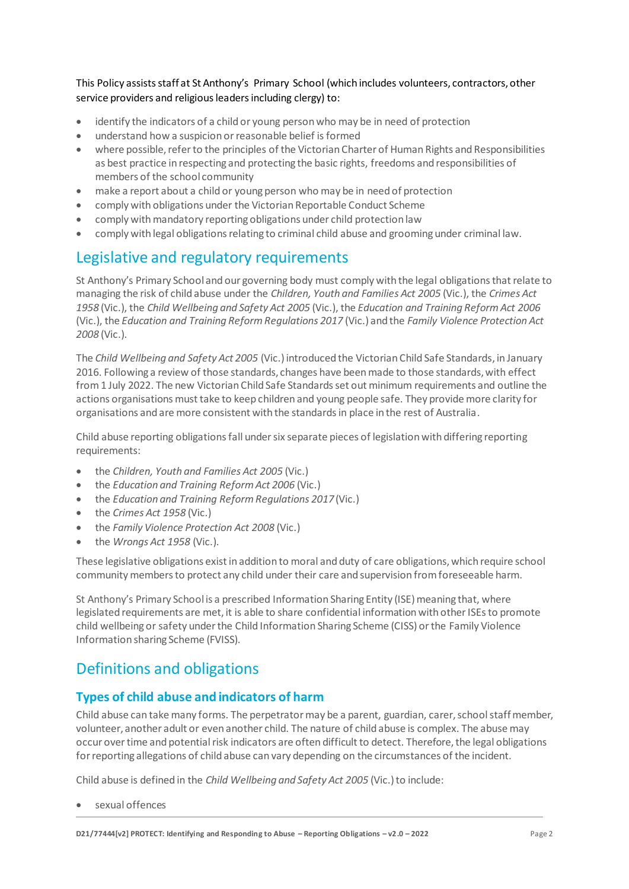This Policy assists staff at St Anthony's Primary School (which includes volunteers, contractors, other service providers and religious leaders including clergy) to:

- identify the indicators of a child or young person who may be in need of protection
- understand how a suspicion or reasonable belief is formed
- where possible, refer to the principles of the Victorian Charter of Human Rights and Responsibilities as best practice in respecting and protecting the basic rights, freedoms and responsibilities of members of the school community
- make a report about a child or young person who may be in need of protection
- comply with obligations under the Victorian Reportable Conduct Scheme
- comply with mandatory reporting obligations under child protectionlaw
- comply with legal obligations relating to criminal child abuse and grooming under criminal law.

# Legislative and regulatory requirements

St Anthony's Primary School and our governing body must comply with the legal obligations that relate to managing the risk of child abuse under the *Children, Youth and Families Act 2005* (Vic.), the *Crimes Act 1958* (Vic.), the *Child Wellbeing and Safety Act 2005* (Vic.), the *Education and Training Reform Act 2006* (Vic.), the *Education and Training Reform Regulations 2017* (Vic.) and the *Family Violence Protection Act 2008* (Vic.).

The *Child Wellbeing and Safety Act 2005* (Vic.) introduced the Victorian Child Safe Standards, in January 2016. Following a review of those standards, changes have been made to those standards, with effect from 1 July 2022. The new Victorian Child Safe Standards set out minimum requirements and outline the actions organisations must take to keep children and young people safe. They provide more clarity for organisations and are more consistent with the standards in place in the rest of Australia.

Child abuse reporting obligations fall under six separate pieces of legislation with differing reporting requirements:

- the *Children, Youth and Families Act 2005* (Vic.)
- the *Education and Training Reform Act 2006* (Vic.)
- the *Education and Training Reform Regulations 2017* (Vic.)
- the *Crimes Act 1958* (Vic.)
- the *Family Violence Protection Act 2008* (Vic.)
- the *Wrongs Act 1958* (Vic.).

These legislative obligations exist in addition to moral and duty of care obligations, which require school community members to protect any child under their care and supervision from foreseeable harm.

St Anthony's Primary School is a prescribed Information Sharing Entity (ISE) meaning that, where legislated requirements are met, it is able to share confidential information with other ISEs to promote child wellbeing or safety under the Child Information Sharing Scheme (CISS) or the Family Violence Information sharing Scheme (FVISS).

# Definitions and obligations

# **Types of child abuse and indicators of harm**

Child abuse can take many forms. The perpetrator may be a parent, guardian, carer, school staff member, volunteer, another adult or even another child. The nature of child abuse is complex. The abuse may occur over time and potential risk indicators are often difficult to detect. Therefore, the legal obligations for reporting allegations of child abuse can vary depending on the circumstances of the incident.

Child abuse is defined in the *Child Wellbeing and Safety Act 2005* (Vic.) to include:

sexual offences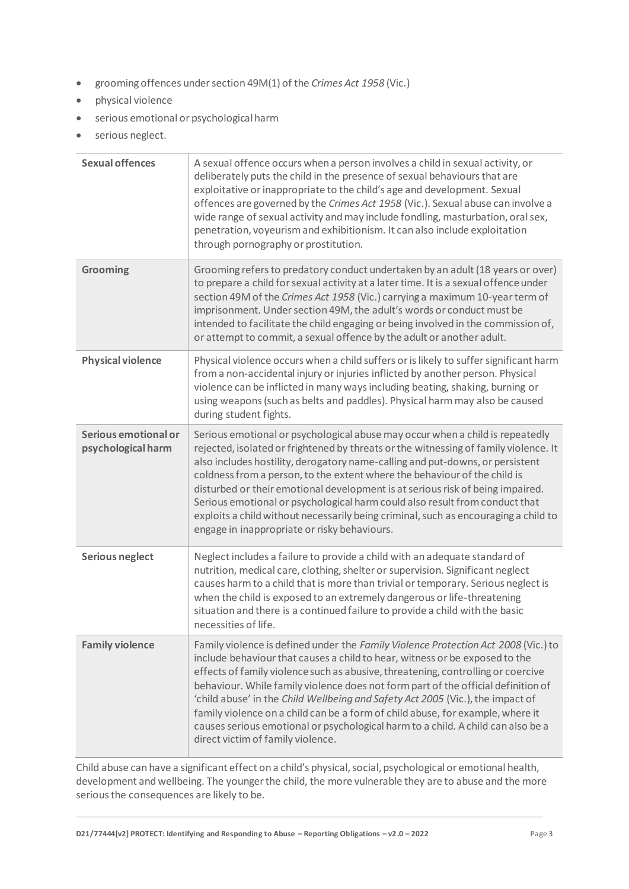- grooming offences under section 49M(1) of the *Crimes Act 1958* (Vic.)
- physical violence
- serious emotional or psychologicalharm
- serious neglect.

| <b>Sexual offences</b>                     | A sexual offence occurs when a person involves a child in sexual activity, or<br>deliberately puts the child in the presence of sexual behaviours that are<br>exploitative or inappropriate to the child's age and development. Sexual<br>offences are governed by the Crimes Act 1958 (Vic.). Sexual abuse can involve a<br>wide range of sexual activity and may include fondling, masturbation, oral sex,<br>penetration, voyeurism and exhibitionism. It can also include exploitation<br>through pornography or prostitution.                                                                                                          |
|--------------------------------------------|---------------------------------------------------------------------------------------------------------------------------------------------------------------------------------------------------------------------------------------------------------------------------------------------------------------------------------------------------------------------------------------------------------------------------------------------------------------------------------------------------------------------------------------------------------------------------------------------------------------------------------------------|
| Grooming                                   | Grooming refers to predatory conduct undertaken by an adult (18 years or over)<br>to prepare a child for sexual activity at a later time. It is a sexual offence under<br>section 49M of the Crimes Act 1958 (Vic.) carrying a maximum 10-year term of<br>imprisonment. Under section 49M, the adult's words or conduct must be<br>intended to facilitate the child engaging or being involved in the commission of,<br>or attempt to commit, a sexual offence by the adult or another adult.                                                                                                                                               |
| <b>Physical violence</b>                   | Physical violence occurs when a child suffers or is likely to suffer significant harm<br>from a non-accidental injury or injuries inflicted by another person. Physical<br>violence can be inflicted in many ways including beating, shaking, burning or<br>using weapons (such as belts and paddles). Physical harm may also be caused<br>during student fights.                                                                                                                                                                                                                                                                           |
| Serious emotional or<br>psychological harm | Serious emotional or psychological abuse may occur when a child is repeatedly<br>rejected, isolated or frightened by threats or the witnessing of family violence. It<br>also includes hostility, derogatory name-calling and put-downs, or persistent<br>coldness from a person, to the extent where the behaviour of the child is<br>disturbed or their emotional development is at serious risk of being impaired.<br>Serious emotional or psychological harm could also result from conduct that<br>exploits a child without necessarily being criminal, such as encouraging a child to<br>engage in inappropriate or risky behaviours. |
| <b>Serious neglect</b>                     | Neglect includes a failure to provide a child with an adequate standard of<br>nutrition, medical care, clothing, shelter or supervision. Significant neglect<br>causes harm to a child that is more than trivial or temporary. Serious neglect is<br>when the child is exposed to an extremely dangerous or life-threatening<br>situation and there is a continued failure to provide a child with the basic<br>necessities of life.                                                                                                                                                                                                        |
| <b>Family violence</b>                     | Family violence is defined under the Family Violence Protection Act 2008 (Vic.) to<br>include behaviour that causes a child to hear, witness or be exposed to the<br>effects of family violence such as abusive, threatening, controlling or coercive<br>behaviour. While family violence does not form part of the official definition of<br>'child abuse' in the Child Wellbeing and Safety Act 2005 (Vic.), the impact of<br>family violence on a child can be a form of child abuse, for example, where it<br>causes serious emotional or psychological harm to a child. A child can also be a<br>direct victim of family violence.     |

Child abuse can have a significant effect on a child's physical, social, psychological or emotional health, development and wellbeing. The younger the child, the more vulnerable they are to abuse and the more serious the consequences are likely to be.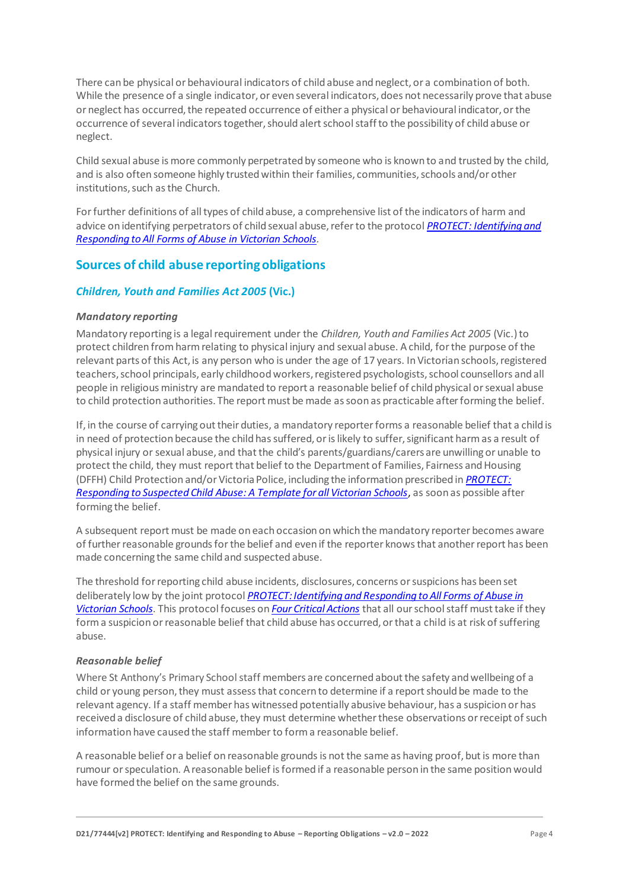There can be physical or behavioural indicators of child abuse and neglect, or a combination of both. While the presence of a single indicator, or even several indicators, does not necessarily prove that abuse or neglect has occurred, the repeated occurrence of either a physical or behavioural indicator, or the occurrence of several indicators together, should alert school staff to the possibility of child abuse or neglect.

Child sexual abuse is more commonly perpetrated by someone who is known to and trusted by the child, and is also often someone highly trusted within their families, communities, schools and/or other institutions, such as the Church.

For further definitions of all types of child abuse, a comprehensive list of the indicators of harm and advice on identifying perpetrators of child sexual abuse, refer to the protocol *[PROTECT: Identifying and](https://www.education.vic.gov.au/Documents/about/programs/health/protect/ChildSafeStandard5_SchoolsGuide.pdf)  [Responding to All Forms of Abuse in Victorian Schools](https://www.education.vic.gov.au/Documents/about/programs/health/protect/ChildSafeStandard5_SchoolsGuide.pdf)[.](http://www.education.vic.gov.au/Documents/about/programs/health/protect/ChildSafeStandard5_SchoolsGuide.pdf)*

# **Sources of child abuse reporting obligations**

# *Children, Youth and Families Act 2005* **(Vic.)**

#### *Mandatory reporting*

Mandatory reporting is a legal requirement under the *Children, Youth and Families Act 2005* (Vic.) to protect children from harm relating to physical injury and sexual abuse. A child, for the purpose of the relevant parts of this Act, is any person who is under the age of 17 years. In Victorian schools, registered teachers, school principals, early childhood workers, registered psychologists, school counsellors and all people in religious ministry are mandated to report a reasonable belief of child physical or sexual abuse to child protection authorities. The report must be made as soon as practicable after forming the belief.

If, in the course of carrying out their duties, a mandatory reporter forms a reasonable belief that a child is in need of protection because the child has suffered, or is likely to suffer, significant harm as a result of physical injury or sexual abuse, and that the child's parents/guardians/carers are unwilling or unable to protect the child, they must report that belief to the Department of Families, Fairness and Housing (DFFH) Child Protection and/or Victoria Police, including the information prescribed in *[PROTECT:](http://www.education.vic.gov.au/Documents/about/programs/health/protect/PROTECT_Responding_TemplateSchools.pdf)  [Responding to Suspected Child Abuse: A Template for all Victorian Schools](http://www.education.vic.gov.au/Documents/about/programs/health/protect/PROTECT_Responding_TemplateSchools.pdf)*, as soon as possible after forming the belief.

A subsequent report must be made on each occasion on which the mandatory reporter becomes aware of further reasonable grounds for the belief and even if the reporter knows that another report has been made concerning the same child and suspected abuse.

The threshold for reporting child abuse incidents, disclosures, concerns or suspicions has been set deliberately low by the joint protocol *[PROTECT: Identifying and Responding to All Forms of Abuse in](http://www.education.vic.gov.au/Documents/about/programs/health/protect/ChildSafeStandard5_SchoolsGuide.pdf)  [Victorian Schools](http://www.education.vic.gov.au/Documents/about/programs/health/protect/ChildSafeStandard5_SchoolsGuide.pdf)*[. T](http://www.education.vic.gov.au/Documents/about/programs/health/protect/ChildSafeStandard5_SchoolsGuide.pdf)his protocol focuses on *[Four Critical Actions](http://www.education.vic.gov.au/Documents/about/programs/health/protect/FourCriticalActions_ChildAbuse.pdf)* that all our school staff must take if they form a suspicion or reasonable belief that child abuse has occurred, or that a child is at risk of suffering abuse.

#### <span id="page-3-0"></span>*Reasonable belief*

Where St Anthony's Primary Schoolstaff members are concerned about the safety and wellbeing of a child or young person, they must assess that concern to determine if a report should be made to the relevant agency. If a staff member has witnessed potentially abusive behaviour, has a suspicion or has received a disclosure of child abuse, they must determine whether these observations or receipt of such information have caused the staff member to form a reasonable belief.

A reasonable belief or a belief on reasonable grounds is not the same as having proof, but is more than rumour or speculation. A reasonable belief is formed if a reasonable person in the same position would have formed the belief on the same grounds.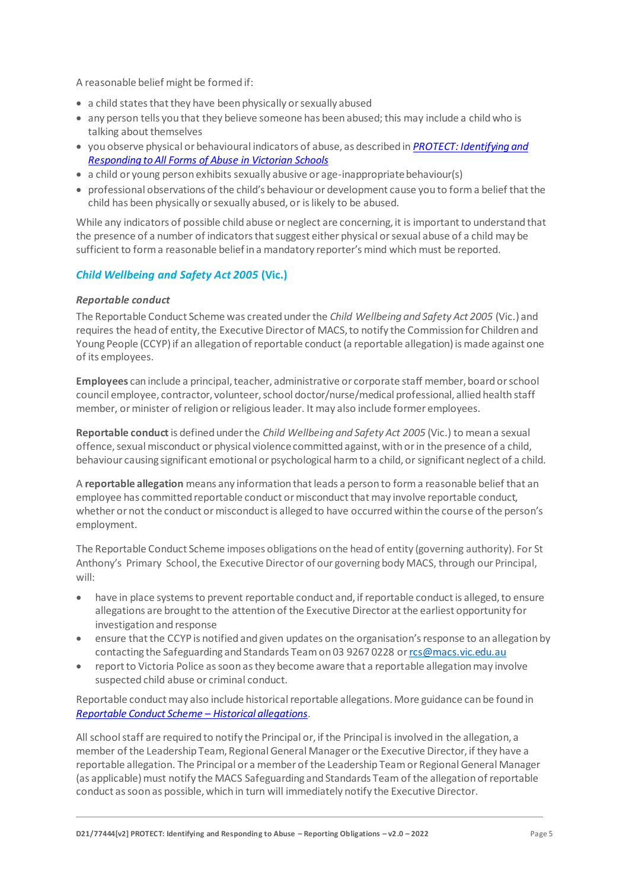A reasonable belief might be formed if:

- a child states that they have been physically or sexually abused
- any person tells you that they believe someone has been abused; this may include a child who is talking about themselves
- you observe physical or behavioural indicators of abuse, as described in *[PROTECT: Identifying and](http://www.education.vic.gov.au/Documents/about/programs/health/protect/ChildSafeStandard5_SchoolsGuide.pdf)  [Responding to All Forms of Abuse in Victorian Schools](http://www.education.vic.gov.au/Documents/about/programs/health/protect/ChildSafeStandard5_SchoolsGuide.pdf)*
- $\bullet$  a child or young person exhibits sexually abusive or age-inappropriate behaviour(s)
- professional observations of the child's behaviour or development cause you to form a belief that the child has been physically or sexually abused, or is likely to be abused.

While any indicators of possible child abuse or neglect are concerning, it is important to understand that the presence of a number of indicators that suggest either physical or sexual abuse of a child may be sufficient to form a reasonable belief in a mandatory reporter's mind which must be reported.

# *Child Wellbeing and Safety Act 2005* **(Vic.)**

#### *Reportable conduct*

The Reportable Conduct Scheme was created under the *Child Wellbeing and Safety Act 2005* (Vic.) and requires the head of entity, the Executive Director of MACS, to notify the Commission for Children and Young People (CCYP) if an allegation of reportable conduct (a reportable allegation) is made against one of its employees.

**Employees** can include a principal, teacher, administrative or corporate staff member, board or school council employee, contractor, volunteer, school doctor/nurse/medical professional, allied health staff member, or minister of religion or religious leader. It may also include former employees.

**Reportable conduct** is defined under the *Child Wellbeing and Safety Act 2005* (Vic.) to mean a sexual offence, sexual misconduct or physical violence committed against, with or in the presence of a child, behaviour causing significant emotional or psychological harm to a child, or significant neglect of a child.

A **reportable allegation** means any information that leads a person to form a reasonable belief that an employee has committed reportable conduct or misconduct that may involve reportable conduct, whether or not the conduct or misconduct is alleged to have occurred within the course of the person's employment.

The Reportable Conduct Scheme imposes obligations on the head of entity (governing authority). For St Anthony's Primary School, the Executive Director of our governing body MACS, through our Principal, will:

- have in place systems to prevent reportable conduct and, if reportable conduct is alleged, to ensure allegations are brought to the attention of the Executive Director at the earliest opportunity for investigation and response
- ensure that the CCYP is notified and given updates on the organisation's response to an allegation by contacting the Safeguarding and Standards Team on 03 9267 0228 o[r rcs@macs.vic.edu.au](mailto:rcs@macs.vic.edu.au)
- report to Victoria Police as soon as they become aware that a reportable allegation may involve suspected child abuse or criminal conduct.

Reportable conduct may also include historical reportable allegations. More guidance can be found in *[Reportable Conduct Scheme](https://ccyp.vic.gov.au/assets/resources/RCSInfoSheetUpdates/Historical-Allegations-110718.pdf) – Historical allegations*.

All school staff are required to notify the Principal or, if the Principal is involved in the allegation, a member of the Leadership Team, Regional General Manager or the Executive Director, if they have a reportable allegation. The Principal or a member of the Leadership Team or Regional General Manager (as applicable) must notify the MACS Safeguarding and Standards Team of the allegation of reportable conduct as soon as possible, which in turn will immediately notify the Executive Director.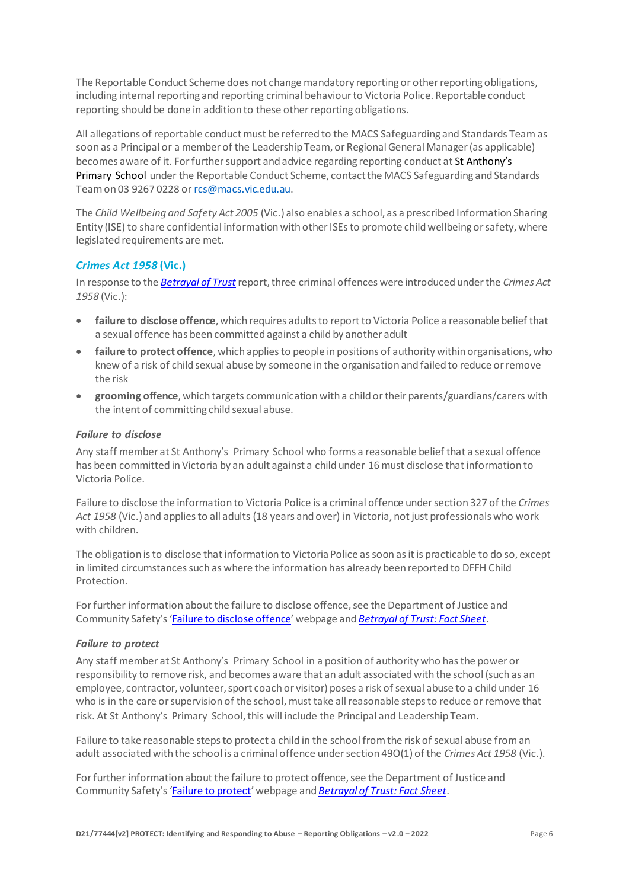The Reportable Conduct Scheme does not change mandatory reporting or other reporting obligations, including internal reporting and reporting criminal behaviour to Victoria Police. Reportable conduct reporting should be done in addition to these other reporting obligations.

All allegations of reportable conduct must be referred to the MACS Safeguarding and Standards Team as soon as a Principal or a member of the Leadership Team, or Regional General Manager (as applicable) becomes aware of it. For further support and advice regarding reporting conduct at St Anthony's Primary School under the Reportable Conduct Scheme, contact the MACS Safeguarding and Standards Team on 03 9267 0228 o[r rcs@macs.vic.edu.au.](mailto:rcs@macs.vic.edu.au)

The *Child Wellbeing and Safety Act 2005* (Vic.) also enables a school, as a prescribed Information Sharing Entity (ISE) to share confidential information with other ISEs to promote child wellbeing or safety, where legislated requirements are met.

# *Crimes Act 1958* **(Vic.)**

In response to the *[Betrayal of Trust](http://www.parliament.vic.gov.au/file_uploads/Inquiry_into_Handling_of_Abuse_Volume_2_FINAL_web_y78t3Wpb.pdf)* report, three criminal offences were introduced under the *Crimes Act 1958* (Vic.):

- **[failure to disclose offence](http://www.justice.vic.gov.au/home/safer%2Bcommunities/protecting%2Bchildren%2Band%2Bfamilies/failure%2Bto%2Bdisclose%2Boffence)**, which requires adults to report to Victoria Police a reasonable belief that a sexual offence has been committed against a child by another adult
- **[failure to protect offence](http://www.justice.vic.gov.au/home/safer%2Bcommunities/protecting%2Bchildren%2Band%2Bfamilies/failure%2Bto%2Bprotect%2Boffence)**, which applies to people in positions of authority within organisations, who knew of a risk of child sexual abuse by someone in the organisation and failed to reduce or remove the risk
- **[grooming offence](http://www.justice.vic.gov.au/home/safer%2Bcommunities/protecting%2Bchildren%2Band%2Bfamilies/grooming%2Boffence)**, which targets communication with a child or their parents/guardians/carers with the intent of committing child sexual abuse.

# <span id="page-5-0"></span>*Failure to disclose*

Any staff member at St Anthony's Primary School who forms a reasonable belief that a sexual offence has been committed in Victoria by an adult against a child under 16 must disclose that information to Victoria Police.

Failure to disclose the information to Victoria Police is a criminal offence under section 327 of the *Crimes Act 1958* (Vic.) and applies to all adults (18 years and over) in Victoria, not just professionals who work with children.

The obligation is to disclose that information to Victoria Police as soon as it is practicable to do so, except in limited circumstances such as where the information has already been reported to DFFH Child Protection.

For further information about the failure to disclose offence, see the Department of Justice and Community Safety's '[Failure to disclose offence](https://www.justice.vic.gov.au/safer-communities/protecting-children-and-families/failure-to-disclose-offence)' webpage and *[Betrayal of Trust: Fact Sheet](https://www.justice.vic.gov.au/sites/default/files/embridge_cache/emshare/original/public/2020/06/c5/7f42d28f3/betrayal_of_trust-organisational_duty_fact_sheet_2018%20.doc)*.

#### *Failure to protect*

Any staff member at St Anthony's Primary School in a position of authority who has the power or responsibility to remove risk, and becomes aware that an adult associated with the school (such as an employee, contractor, volunteer, sport coach or visitor) poses a risk of sexual abuse to a child under 16 who is in the care or supervision of the school, must take all reasonable steps to reduce or remove that risk. At St Anthony's Primary School, this will include the Principal and Leadership Team.

Failure to take reasonable steps to protect a child in the school from the risk of sexual abuse from an adult associated with the school is a criminal offence under section 49O(1) of the *Crimes Act 1958* (Vic.).

For further information about the failure to protect offence, see the Department of Justice and Community Safety's '[Failure to protect](https://www.justice.vic.gov.au/safer-communities/protecting-children-and-families/failure-to-protect-a-new-criminal-offence-to)' webpage and *[Betrayal of Trust: Fact Sheet](https://www.justice.vic.gov.au/sites/default/files/embridge_cache/emshare/original/public/2020/06/e0/4460c5147/failure_to_protect_betrayal_of_trust_factsheet_2017.pdf)*.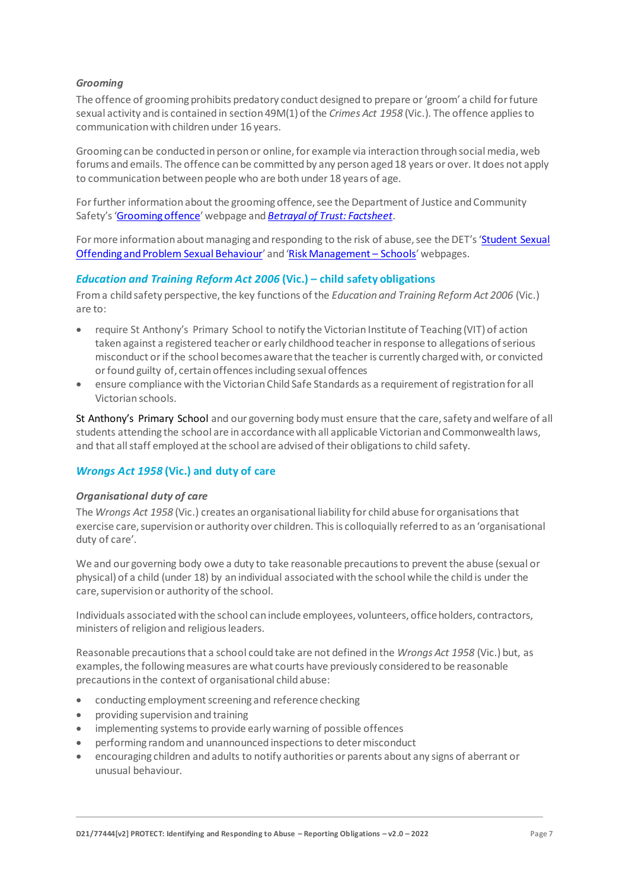# *Grooming*

The offence of grooming prohibits predatory conduct designed to prepare or 'groom' a child for future sexual activity and is contained in section 49M(1) of the *Crimes Act 1958* (Vic.). The offence applies to communication with children under 16 years.

Grooming can be conducted in person or online, for example via interaction through social media, web forums and emails. The offence can be committed by any person aged 18 years or over. It does not apply to communication between people who are both under 18 years of age.

For further information about the grooming offence, see the Department of Justice and Community Safety's '[Grooming offence](https://www.justice.vic.gov.au/safer-communities/protecting-children-and-families/grooming-offence)' webpage and *[Betrayal of Trust: Factsheet](https://www.justice.vic.gov.au/sites/default/files/embridge_cache/emshare/original/public/2020/06/e6/ea73d4b66/grooming_betrayal_of_trust_factsheet_2017.pdf)*.

For more information about managing and responding to the risk of abuse, see the DET's 'Student Sexual [Offending and Problem Sexual Behaviour](https://www2.education.vic.gov.au/pal/student-sexual-behaviours/policy)' and '[Risk Management](https://www2.education.vic.gov.au/pal/risk-management-schools/policy) – Schools' webpages.

# *Education and Training Reform Act 2006* **(Vic.) – child safety obligations**

From a child safety perspective, the key functions of the *Education and Training Reform Act 2006* (Vic.) are to:

- require St Anthony's Primary School to notify the Victorian Institute of Teaching (VIT) of action taken against a registered teacher or early childhood teacher in response to allegations of serious misconduct or if the school becomes aware that the teacher is currently charged with, or convicted or found guilty of, certain offences including sexual offences
- ensure compliance with the Victorian Child Safe Standards as a requirement of registration for all Victorian schools.

St Anthony's Primary School and our governing body must ensure that the care, safety and welfare of all students attending the school are in accordance with all applicable Victorian and Commonwealth laws, and that all staff employed at the school are advised of their obligations to child safety.

# *Wrongs Act 1958* **(Vic.) and duty of care**

#### *Organisational duty of care*

The *Wrongs Act 1958* (Vic.) creates an organisational liability for child abuse for organisations that exercise care, supervision or authority over children. This is colloquially referred to as an 'organisational duty of care'.

We and our governing body owe a duty to take reasonable precautions to prevent the abuse (sexual or physical) of a child (under 18) by an individual associated with the school while the child is under the care, supervision or authority of the school.

Individuals associated with the school can include employees, volunteers, office holders, contractors, ministers of religion and religious leaders.

Reasonable precautions that a school could take are not defined in the *Wrongs Act 1958* (Vic.) but, as examples, the following measures are what courts have previously considered to be reasonable precautions in the context of organisational child abuse:

- conducting employment screening and reference checking
- providing supervision and training
- implementing systems to provide early warning of possible offences
- performing random and unannounced inspections to determisconduct
- encouraging children and adults to notify authorities or parents about any signs of aberrant or unusual behaviour.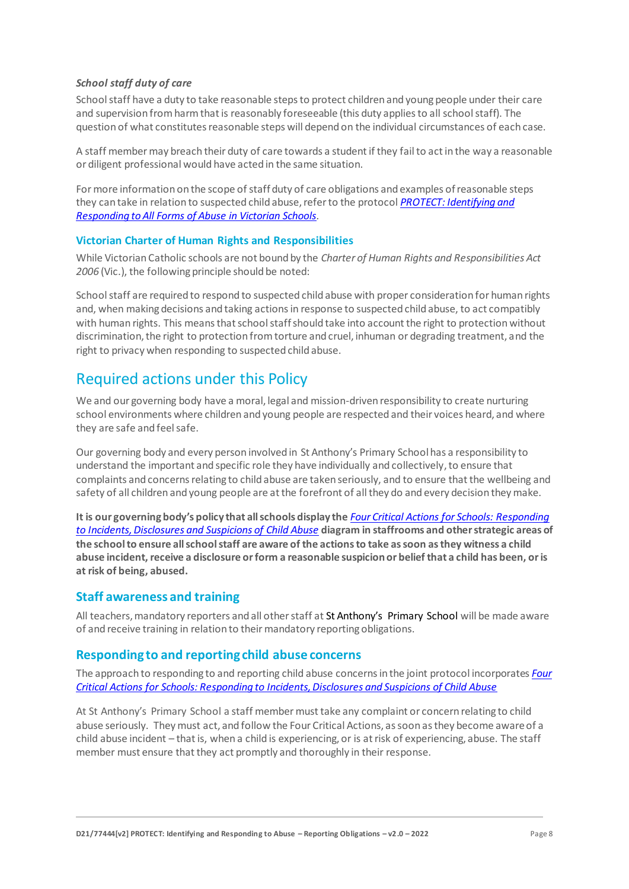# *School staff duty of care*

School staff have a duty to take reasonable steps to protect children and young people under their care and supervision from harm that is reasonably foreseeable (this duty applies to all school staff). The question of what constitutes reasonable steps will depend on the individual circumstances of each case.

A staff member may breach their duty of care towards a student if they fail to act in the way a reasonable or diligent professional would have acted in the same situation.

For more information on the scope of staff duty of care obligations and examples of reasonable steps they can take in relation to suspected child abuse, refer to the protocol *[PROTECT: Identifying and](http://www.education.vic.gov.au/Documents/about/programs/health/protect/ChildSafeStandard5_SchoolsGuide.pdf)  [Responding to All Forms of Abuse in Victorian Schools.](http://www.education.vic.gov.au/Documents/about/programs/health/protect/ChildSafeStandard5_SchoolsGuide.pdf)*

# **Victorian Charter of Human Rights and Responsibilities**

While Victorian Catholic schools are not bound by the *Charter of Human Rights and Responsibilities Act 2006* (Vic.), the following principle should be noted:

School staff are required to respond to suspected child abuse with proper consideration for human rights and, when making decisions and taking actions in response to suspected child abuse, to act compatibly with human rights. This means that school staff should take into account the right to protection without discrimination, the right to protection from torture and cruel, inhuman or degrading treatment, and the right to privacy when responding to suspected child abuse.

# Required actions under this Policy

We and our governing body have a moral, legal and mission-driven responsibility to create nurturing school environments where children and young people are respected and their voices heard, and where they are safe and feel safe.

Our governing body and every person involved in St Anthony's Primary Schoolhas a responsibility to understand the important and specific role they have individually and collectively, to ensure that complaints and concerns relating to child abuse are taken seriously, and to ensure that the wellbeing and safety of all children and young people are at the forefront of all they do and every decision they make.

**It is our governing body's policy that all schools display the** *[Four Critical Actions for Schools: Responding](http://www.education.vic.gov.au/Documents/about/programs/health/protect/FourCriticalActions_ChildAbuse.pdf)  [to Incidents, Disclosures and Suspicions of Child Abuse](http://www.education.vic.gov.au/Documents/about/programs/health/protect/FourCriticalActions_ChildAbuse.pdf)* **diagram in staffrooms and other strategic areas of the school to ensure all school staff are aware of the actions to take as soon as they witness a child abuse incident, receive a disclosure or form a reasonable suspicion or belief that a child has been, or is at risk of being, abused.**

# **Staff awareness and training**

All teachers, mandatory reporters and all other staff at St Anthony's Primary School will be made aware of and receive training in relation to their mandatory reporting obligations.

# **Responding to and reporting child abuse concerns**

The approach to responding to and reporting child abuse concerns in the joint protocol incorporates *[Four](http://www.education.vic.gov.au/Documents/about/programs/health/protect/FourCriticalActions_ChildAbuse.pdf)  Critical Actions [for Schools: Responding to Incidents, Disclosures and Suspicions of Child Abuse](http://www.education.vic.gov.au/Documents/about/programs/health/protect/FourCriticalActions_ChildAbuse.pdf)*

At St Anthony's Primary School a staff member must take any complaint or concern relating to child abuse seriously. They must act, and follow the Four Critical Actions, as soon as they become aware of a child abuse incident – that is, when a child is experiencing, or is at risk of experiencing, abuse. The staff member must ensure that they act promptly and thoroughly in their response.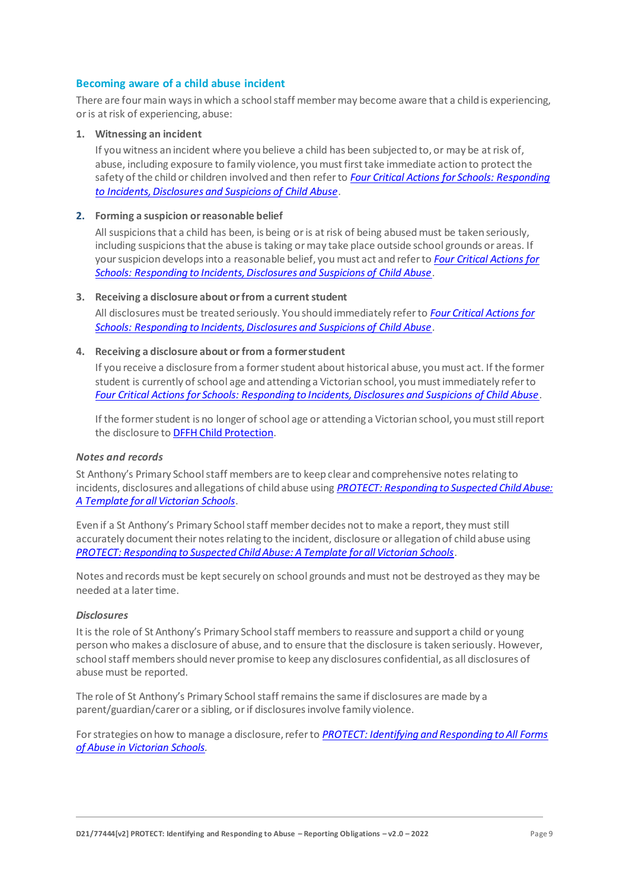#### **Becoming aware of a child abuse incident**

There are four main ways in which a school staff member may become aware that a child is experiencing, or is at risk of experiencing, abuse:

#### **1. Witnessing an incident**

If you witness an incident where you believe a child has been subjected to, or may be at risk of, abuse, including exposure to family violence, you must first take immediate action to protect the safety of the child or children involved and then refer to *[Four Critical Actions for Schools: Responding](http://www.education.vic.gov.au/Documents/about/programs/health/protect/FourCriticalActions_ChildAbuse.pdf)  [to Incidents, Disclosures and Suspicions of Child Abuse](http://www.education.vic.gov.au/Documents/about/programs/health/protect/FourCriticalActions_ChildAbuse.pdf)*.

#### **2. Forming a suspicion or reasonable belief**

All suspicions that a child has been, is being or is at risk of being abused must be taken seriously, including suspicions that the abuse is taking or may take place outside school grounds or areas. If your suspicion develops into a reasonable belief, you must act and refer to *[Four Critical Actions for](http://www.education.vic.gov.au/Documents/about/programs/health/protect/FourCriticalActions_ChildAbuse.pdf)  [Schools: Responding to Incidents, Disclosures and Suspicions of Child Abuse](http://www.education.vic.gov.au/Documents/about/programs/health/protect/FourCriticalActions_ChildAbuse.pdf)*.

#### **3.** Receiving a disclosure about or from a current student

All disclosures must be treated seriously. You should immediately refer to *[Four Critical Actions for](http://www.education.vic.gov.au/Documents/about/programs/health/protect/FourCriticalActions_ChildAbuse.pdf)  [Schools: Responding to Incidents, Disclosures and Suspicions of Child Abuse](http://www.education.vic.gov.au/Documents/about/programs/health/protect/FourCriticalActions_ChildAbuse.pdf)*[.](http://www.education.vic.gov.au/Documents/about/programs/health/protect/FourCriticalActions_ChildAbuse.pdf)

#### **4. Receiving a disclosure about or from a formerstudent**

If you receive a disclosure from a former student about historical abuse, you must act. If the former student is currently of school age and attending a Victorian school, you must immediately refer to *[Four Critical Actions for Schools: Responding to Incidents, Disclosures and Suspicions of Child Abuse](http://www.education.vic.gov.au/Documents/about/programs/health/protect/FourCriticalActions_ChildAbuse.pdf)*[.](http://www.education.vic.gov.au/Documents/about/programs/health/protect/FourCriticalActions_ChildAbuse.pdf)

If the former student is no longer of school age or attending a Victorian school, you must still report the disclosure to DFFH [Child Protection.](https://www.education.vic.gov.au/about/contact/Pages/reportingabuse.aspx)

#### *Notes and records*

St Anthony's Primary School staff members are to keep clear and comprehensive notes relating to incidents, disclosures and allegations of child abuse using *[PROTECT: Responding to Suspected Child Abuse:](http://www.education.vic.gov.au/Documents/about/programs/health/protect/PROTECT_Responding_TemplateSchools.pdf)  [A Template for all Victorian Schools](http://www.education.vic.gov.au/Documents/about/programs/health/protect/PROTECT_Responding_TemplateSchools.pdf)*.

Even if a St Anthony's Primary School staff member decides not to make a report, they must still accurately document their notes relating to the incident, disclosure or allegation of child abuse using *[PROTECT: Responding to Suspected Child Abuse: A Template for all Victorian Schools](http://www.education.vic.gov.au/Documents/about/programs/health/protect/PROTECT_Responding_TemplateSchools.pdf)*.

Notes and records must be kept securely on school grounds and must not be destroyed as they may be needed at a later time.

#### *Disclosures*

It is the role of St Anthony's Primary School staff members to reassure and support a child or young person who makes a disclosure of abuse, and to ensure that the disclosure is taken seriously. However, school staff members should never promise to keep any disclosures confidential, as all disclosures of abuse must be reported.

The role of St Anthony's Primary School staff remains the same if disclosures are made by a parent/guardian/carer or a sibling, or if disclosures involve family violence.

For strategies on how to manage a disclosure, refer to *[PROTECT: Identifying and Responding to All Forms](http://www.education.vic.gov.au/Documents/about/programs/health/protect/ChildSafeStandard5_SchoolsGuide.pdf)  [of Abuse in Victorian Schools.](http://www.education.vic.gov.au/Documents/about/programs/health/protect/ChildSafeStandard5_SchoolsGuide.pdf)*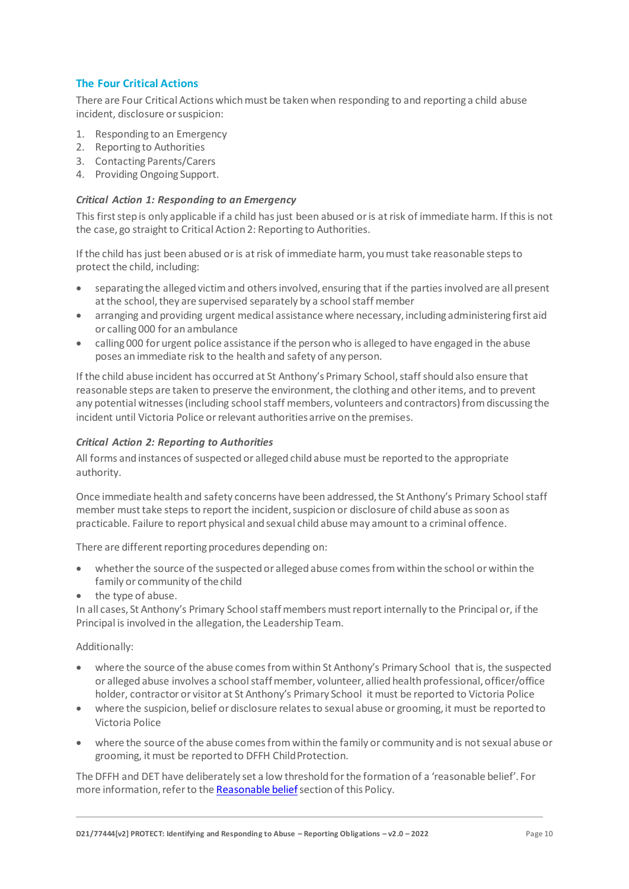# **The Four Critical Actions**

There are Four Critical Actions which must be taken when responding to and reporting a child abuse incident, disclosure or suspicion:

- 1. Responding to an Emergency
- 2. Reporting to Authorities
- 3. Contacting Parents/Carers
- 4. Providing Ongoing Support.

#### *Critical Action 1: Responding to an Emergency*

This first step is only applicable if a child has just been abused or is at risk of immediate harm. If this is not the case, go straight to Critical Action 2: Reporting to Authorities.

If the child has just been abused or is at risk of immediate harm, you must take reasonable steps to protect the child, including:

- separating the alleged victim and others involved, ensuring that if the parties involved are all present at the school, they are supervised separately by a school staff member
- arranging and providing urgent medical assistance where necessary, including administering first aid or calling 000 for an ambulance
- calling 000 for urgent police assistance if the person who is alleged to have engaged in the abuse poses an immediate risk to the health and safety of any person.

If the child abuse incident has occurred at St Anthony's Primary School, staff should also ensure that reasonable steps are taken to preserve the environment, the clothing and other items, and to prevent any potential witnesses (including school staff members, volunteers and contractors) from discussing the incident until Victoria Police or relevant authorities arrive on the premises.

#### *Critical Action 2: Reporting to Authorities*

All forms and instances of suspected or alleged child abuse must be reported to the appropriate authority.

Once immediate health and safety concerns have been addressed, the St Anthony's Primary School staff member must take steps to report the incident, suspicion or disclosure of child abuse as soon as practicable. Failure to report physical and sexual child abuse may amount to a criminal offence.

There are different reporting procedures depending on:

- whether the source of the suspected or alleged abuse comes from within the school or within the family or community of the child
- the type of abuse.

In all cases, St Anthony's Primary School staff members must report internally to the Principal or, if the Principal is involved in the allegation, the Leadership Team.

Additionally:

- where the source of the abuse comes from within St Anthony's Primary School that is, the suspected or alleged abuse involves a school staff member, volunteer, allied health professional, officer/office holder, contractor or visitor at St Anthony's Primary School it must be reported to Victoria Police
- where the suspicion, belief or disclosure relates to sexual abuse or grooming, it must be reported to Victoria Police
- where the source of the abuse comes from within the family or community and is not sexual abuse or grooming, it must be reported to DFFH Child Protection.

The DFFH and DET have deliberately set a low threshold for the formation of a 'reasonable belief'. For more information, refer to th[e Reasonable belief](#page-3-0) section of this Policy.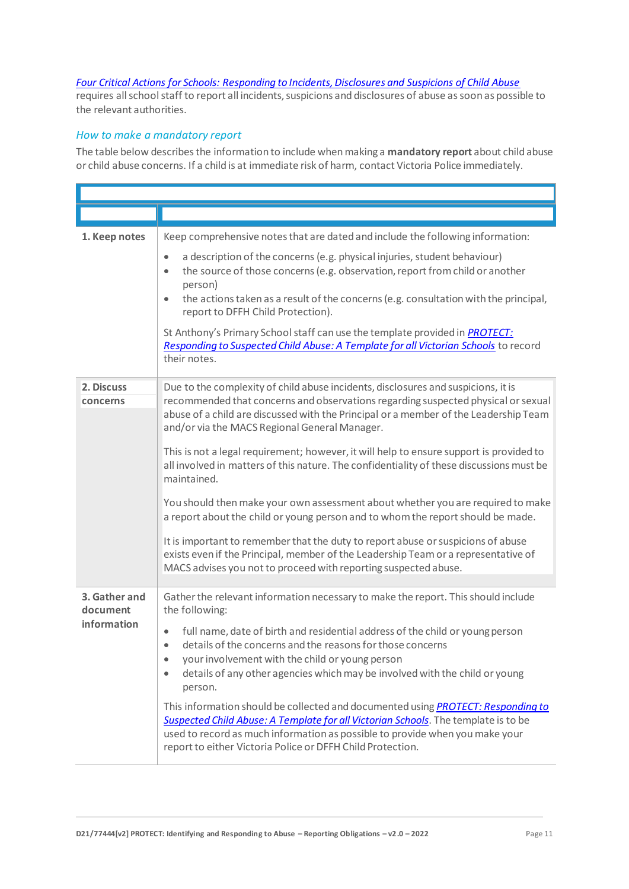#### *[Four Critical Actions for Schools: Responding to Incidents, Disclosures and Suspicions of Child Abuse](http://www.education.vic.gov.au/Documents/about/programs/health/protect/FourCriticalActions_ChildAbuse.pdf)*

requires all school staff to report all incidents, suspicions and disclosures of abuse as soon as possible to the relevant authorities.

# *How to make a mandatory report*

The table below describes the information to include when making a **mandatory report** about child abuse or child abuse concerns. If a child is at immediate risk of harm, contact Victoria Police immediately.

| 1. Keep notes             | Keep comprehensive notes that are dated and include the following information:                                                                                                                                                                                                                                                           |
|---------------------------|------------------------------------------------------------------------------------------------------------------------------------------------------------------------------------------------------------------------------------------------------------------------------------------------------------------------------------------|
|                           | a description of the concerns (e.g. physical injuries, student behaviour)<br>$\bullet$<br>the source of those concerns (e.g. observation, report from child or another<br>$\bullet$<br>person)<br>the actions taken as a result of the concerns (e.g. consultation with the principal,<br>$\bullet$<br>report to DFFH Child Protection). |
|                           | St Anthony's Primary School staff can use the template provided in <b>PROTECT</b> :<br>Responding to Suspected Child Abuse: A Template for all Victorian Schools to record<br>their notes.                                                                                                                                               |
| 2. Discuss<br>concerns    | Due to the complexity of child abuse incidents, disclosures and suspicions, it is<br>recommended that concerns and observations regarding suspected physical or sexual<br>abuse of a child are discussed with the Principal or a member of the Leadership Team<br>and/or via the MACS Regional General Manager.                          |
|                           | This is not a legal requirement; however, it will help to ensure support is provided to<br>all involved in matters of this nature. The confidentiality of these discussions must be<br>maintained.                                                                                                                                       |
|                           | You should then make your own assessment about whether you are required to make<br>a report about the child or young person and to whom the report should be made.                                                                                                                                                                       |
|                           | It is important to remember that the duty to report abuse or suspicions of abuse<br>exists even if the Principal, member of the Leadership Team or a representative of<br>MACS advises you not to proceed with reporting suspected abuse.                                                                                                |
| 3. Gather and<br>document | Gather the relevant information necessary to make the report. This should include<br>the following:                                                                                                                                                                                                                                      |
| information               | full name, date of birth and residential address of the child or young person<br>details of the concerns and the reasons for those concerns<br>$\bullet$<br>your involvement with the child or young person<br>$\bullet$<br>details of any other agencies which may be involved with the child or young<br>$\bullet$<br>person.          |
|                           | This information should be collected and documented using <b>PROTECT: Responding to</b><br>Suspected Child Abuse: A Template for all Victorian Schools. The template is to be<br>used to record as much information as possible to provide when you make your<br>report to either Victoria Police or DFFH Child Protection.              |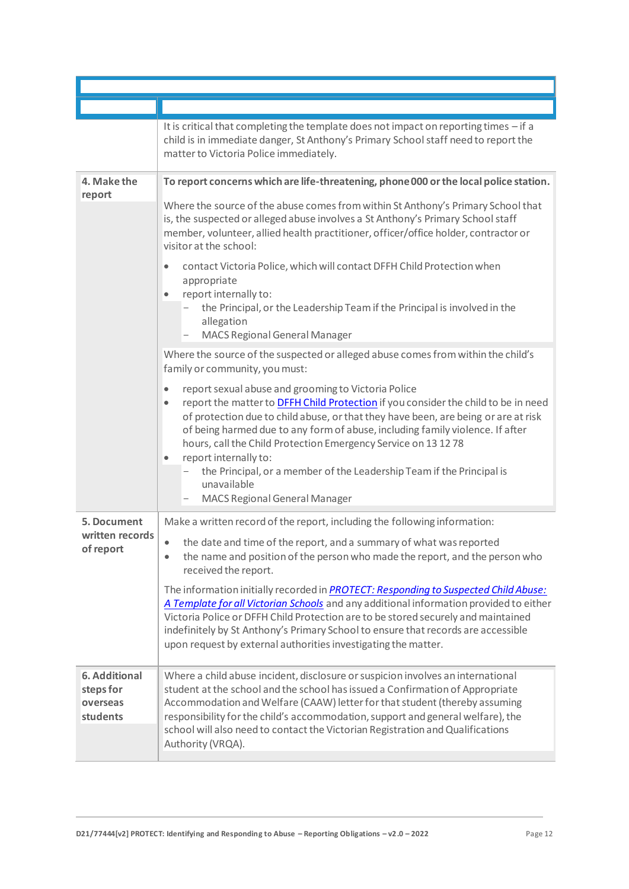|                                                    | It is critical that completing the template does not impact on reporting times - if a<br>child is in immediate danger, St Anthony's Primary School staff need to report the<br>matter to Victoria Police immediately.                                                                                                                                                                                                                                                                                                                                                              |
|----------------------------------------------------|------------------------------------------------------------------------------------------------------------------------------------------------------------------------------------------------------------------------------------------------------------------------------------------------------------------------------------------------------------------------------------------------------------------------------------------------------------------------------------------------------------------------------------------------------------------------------------|
| 4. Make the<br>report                              | To report concerns which are life-threatening, phone 000 or the local police station.                                                                                                                                                                                                                                                                                                                                                                                                                                                                                              |
|                                                    | Where the source of the abuse comes from within St Anthony's Primary School that<br>is, the suspected or alleged abuse involves a St Anthony's Primary School staff<br>member, volunteer, allied health practitioner, officer/office holder, contractor or<br>visitor at the school:                                                                                                                                                                                                                                                                                               |
|                                                    | contact Victoria Police, which will contact DFFH Child Protection when<br>$\bullet$<br>appropriate<br>report internally to:<br>$\bullet$                                                                                                                                                                                                                                                                                                                                                                                                                                           |
|                                                    | the Principal, or the Leadership Team if the Principal is involved in the<br>allegation<br>MACS Regional General Manager                                                                                                                                                                                                                                                                                                                                                                                                                                                           |
|                                                    | Where the source of the suspected or alleged abuse comes from within the child's<br>family or community, you must:                                                                                                                                                                                                                                                                                                                                                                                                                                                                 |
|                                                    | report sexual abuse and grooming to Victoria Police<br>$\bullet$<br>report the matter to <b>DFFH Child Protection</b> if you consider the child to be in need<br>$\bullet$<br>of protection due to child abuse, or that they have been, are being or are at risk<br>of being harmed due to any form of abuse, including family violence. If after<br>hours, call the Child Protection Emergency Service on 13 12 78<br>report internally to:<br>$\bullet$<br>the Principal, or a member of the Leadership Team if the Principal is<br>unavailable<br>MACS Regional General Manager |
| 5. Document                                        | Make a written record of the report, including the following information:                                                                                                                                                                                                                                                                                                                                                                                                                                                                                                          |
| written records<br>of report                       | the date and time of the report, and a summary of what was reported<br>$\bullet$<br>the name and position of the person who made the report, and the person who<br>$\bullet$<br>received the report.                                                                                                                                                                                                                                                                                                                                                                               |
|                                                    | The information initially recorded in <b>PROTECT: Responding to Suspected Child Abuse:</b><br>A Template for all Victorian Schools and any additional information provided to either<br>Victoria Police or DFFH Child Protection are to be stored securely and maintained<br>indefinitely by St Anthony's Primary School to ensure that records are accessible<br>upon request by external authorities investigating the matter.                                                                                                                                                   |
| 6. Additional<br>steps for<br>overseas<br>students | Where a child abuse incident, disclosure or suspicion involves an international<br>student at the school and the school has issued a Confirmation of Appropriate<br>Accommodation and Welfare (CAAW) letter for that student (thereby assuming<br>responsibility for the child's accommodation, support and general welfare), the<br>school will also need to contact the Victorian Registration and Qualifications<br>Authority (VRQA).                                                                                                                                           |

П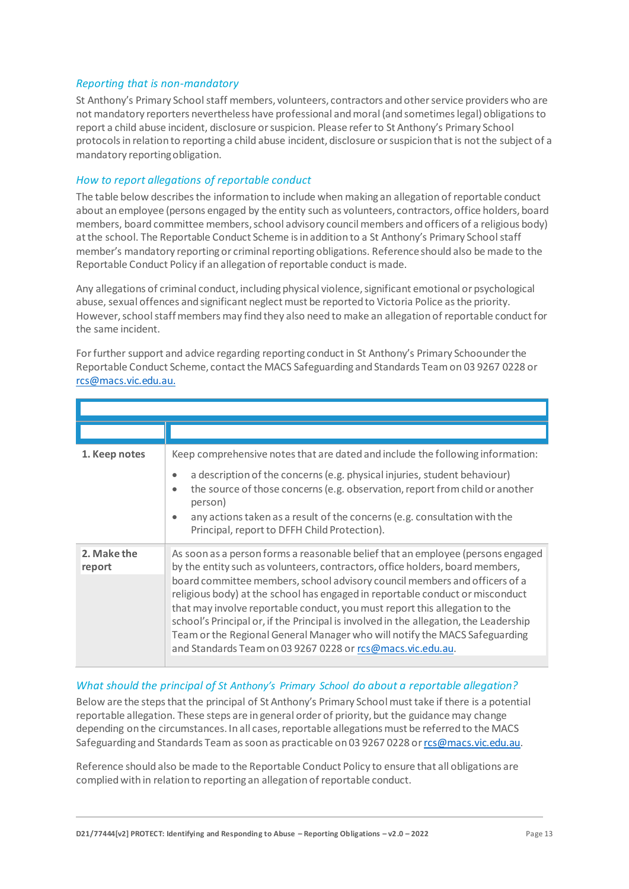# *Reporting that is non-mandatory*

St Anthony's Primary Schoolstaff members, volunteers, contractors and other service providers who are not mandatory reporters nevertheless have professional and moral (and sometimes legal) obligations to report a child abuse incident, disclosure or suspicion. Please refer to St Anthony's Primary School protocols in relation to reporting a child abuse incident, disclosure or suspicion that is not the subject of a mandatory reportingobligation.

# *How to report allegations of reportable conduct*

The table below describes the information to include when making an allegation of reportable conduct about an employee (persons engaged by the entity such as volunteers, contractors, office holders, board members, board committee members, school advisory council members and officers of a religious body) at the school. The Reportable Conduct Scheme is in addition to a St Anthony's Primary School staff member's mandatory reporting or criminal reporting obligations. Reference should also be made to the Reportable Conduct Policy if an allegation of reportable conduct is made.

Any allegations of criminal conduct, including physical violence, significant emotional or psychological abuse, sexual offences and significant neglect must be reported to Victoria Police as the priority. However, school staff members may find they also need to make an allegation of reportable conduct for the same incident.

For further support and advice regarding reporting conduct in St Anthony's Primary Schoounder the Reportable Conduct Scheme, contact the MACS Safeguarding and Standards Team on 03 9267 0228 or [rcs@macs.vic.edu.au.](mailto:rcs@macs.vic.edu.au.)

| 1. Keep notes         | Keep comprehensive notes that are dated and include the following information:<br>a description of the concerns (e.g. physical injuries, student behaviour)<br>$\bullet$<br>the source of those concerns (e.g. observation, report from child or another<br>$\bullet$<br>person)<br>any actions taken as a result of the concerns (e.g. consultation with the<br>$\bullet$<br>Principal, report to DFFH Child Protection).                                                                                                                                                                                                                          |
|-----------------------|-----------------------------------------------------------------------------------------------------------------------------------------------------------------------------------------------------------------------------------------------------------------------------------------------------------------------------------------------------------------------------------------------------------------------------------------------------------------------------------------------------------------------------------------------------------------------------------------------------------------------------------------------------|
| 2. Make the<br>report | As soon as a person forms a reasonable belief that an employee (persons engaged<br>by the entity such as volunteers, contractors, office holders, board members,<br>board committee members, school advisory council members and officers of a<br>religious body) at the school has engaged in reportable conduct or misconduct<br>that may involve reportable conduct, you must report this allegation to the<br>school's Principal or, if the Principal is involved in the allegation, the Leadership<br>Team or the Regional General Manager who will notify the MACS Safeguarding<br>and Standards Team on 03 9267 0228 or rcs@macs.vic.edu.au. |

#### *What should the principal of St Anthony's Primary School do about a reportable allegation?*

Below are the steps that the principal of St Anthony's Primary School must take if there is a potential reportable allegation. These steps are in general order of priority, but the guidance may change depending on the circumstances. In all cases, reportable allegations must be referred to the MACS Safeguarding and Standards Team as soon as practicable on 03 9267 0228 o[r rcs@macs.vic.edu.au.](mailto:rcs@macs.vic.edu.au)

Reference should also be made to the Reportable Conduct Policy to ensure that all obligations are complied with in relation to reporting an allegation of reportable conduct.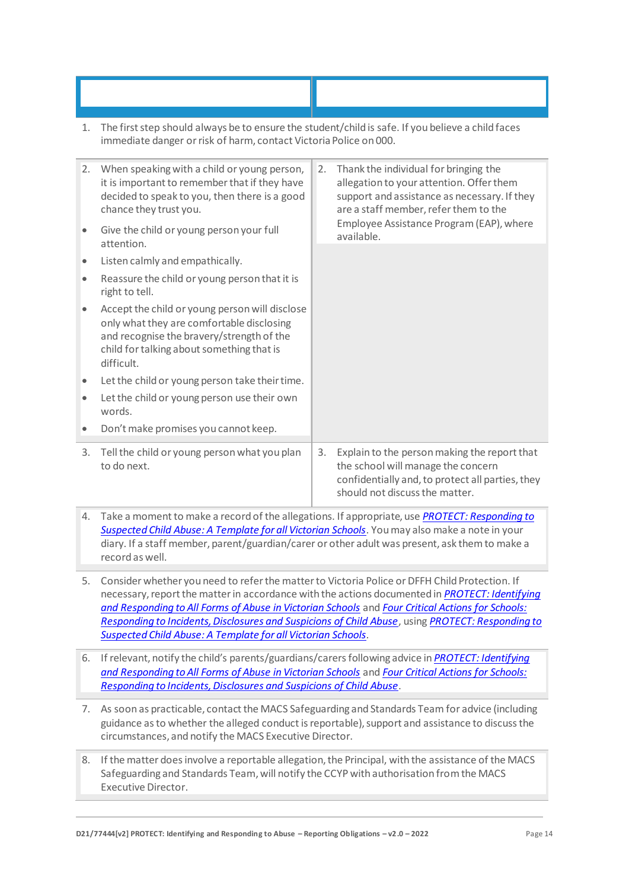1. The first step should always be to ensure the student/child is safe. If you believe a child faces immediate danger or risk of harm, contact Victoria Police on 000.

**What if a staff member or another adult informs** 

**What if a student or another child informs you** 

| 2.<br>$\bullet$ | When speaking with a child or young person,<br>it is important to remember that if they have<br>decided to speak to you, then there is a good<br>chance they trust you.<br>Give the child or young person your full<br>attention.<br>Listen calmly and empathically.<br>Reassure the child or young person that it is | 2. | Thank the individual for bringing the<br>allegation to your attention. Offer them<br>support and assistance as necessary. If they<br>are a staff member, refer them to the<br>Employee Assistance Program (EAP), where<br>available. |
|-----------------|-----------------------------------------------------------------------------------------------------------------------------------------------------------------------------------------------------------------------------------------------------------------------------------------------------------------------|----|--------------------------------------------------------------------------------------------------------------------------------------------------------------------------------------------------------------------------------------|
|                 | right to tell.<br>Accept the child or young person will disclose<br>only what they are comfortable disclosing<br>and recognise the bravery/strength of the<br>child for talking about something that is<br>difficult.                                                                                                 |    |                                                                                                                                                                                                                                      |
| ۰               | Let the child or young person take their time.<br>Let the child or young person use their own<br>words.<br>Don't make promises you cannot keep.                                                                                                                                                                       |    |                                                                                                                                                                                                                                      |
| 3.              | Tell the child or young person what you plan<br>to do next.                                                                                                                                                                                                                                                           | 3. | Explain to the person making the report that<br>the school will manage the concern<br>confidentially and, to protect all parties, they<br>should not discuss the matter.                                                             |
|                 | Teles a propositional de second of the ellections. If consequiete use <b>DDOTECT</b> , Desperation to                                                                                                                                                                                                                 |    |                                                                                                                                                                                                                                      |

- 4. Take a moment to make a record of the allegations. If appropriate, use *[PROTECT: Responding](http://www.education.vic.gov.au/Documents/about/programs/health/protect/PROTECT_Responding_TemplateSchools.pdf) to [Suspected Child Abuse: A Template for all Victorian Schools](http://www.education.vic.gov.au/Documents/about/programs/health/protect/PROTECT_Responding_TemplateSchools.pdf)*. You may also make a note in your diary. If a staff member, parent/guardian/carer or other adult was present, ask them to make a record as well.
- 5. Consider whether you need to refer the matter to Victoria Police or DFFH Child Protection. If necessary, report the matter in accordance with the actions documented in *[PROTECT: Identifying](http://www.education.vic.gov.au/Documents/about/programs/health/protect/ChildSafeStandard5_SchoolsGuide.pdf)  [and Responding to All Forms of Abuse in Victorian Schools](http://www.education.vic.gov.au/Documents/about/programs/health/protect/ChildSafeStandard5_SchoolsGuide.pdf)* and *[Four Critical Actions for Schools:](http://www.education.vic.gov.au/Documents/about/programs/health/protect/FourCriticalActions_ChildAbuse.pdf)  [Responding to Incidents, Disclosures and Suspicions of Child Abuse](http://www.education.vic.gov.au/Documents/about/programs/health/protect/FourCriticalActions_ChildAbuse.pdf)*, using *[PROTECT: Responding to](http://www.education.vic.gov.au/Documents/about/programs/health/protect/PROTECT_Responding_TemplateSchools.pdf)  [Suspected Child Abuse: A Template for all Victorian Schools](http://www.education.vic.gov.au/Documents/about/programs/health/protect/PROTECT_Responding_TemplateSchools.pdf)*.
- 6. If relevant, notify the child's parents/guardians/carersfollowing advice in *[PROTECT: Identifying](http://www.education.vic.gov.au/Documents/about/programs/health/protect/ChildSafeStandard5_SchoolsGuide.pdf)  [and Responding to All Forms of Abuse in Victorian Schools](http://www.education.vic.gov.au/Documents/about/programs/health/protect/ChildSafeStandard5_SchoolsGuide.pdf)* and *[Four Critical Actions for Schools:](http://www.education.vic.gov.au/Documents/about/programs/health/protect/FourCriticalActions_ChildAbuse.pdf)  [Responding to Incidents, Disclosures and Suspicions of Child Abuse](http://www.education.vic.gov.au/Documents/about/programs/health/protect/FourCriticalActions_ChildAbuse.pdf)*.
- 7. As soon as practicable, contact the MACS Safeguarding and Standards Team for advice (including guidance as to whether the alleged conduct is reportable), support and assistance to discuss the circumstances, and notify the MACS Executive Director.
- 8. If the matter does involve a reportable allegation, the Principal, with the assistance of the MACS Safeguarding and Standards Team, will notify the CCYP with authorisation from the MACS Executive Director.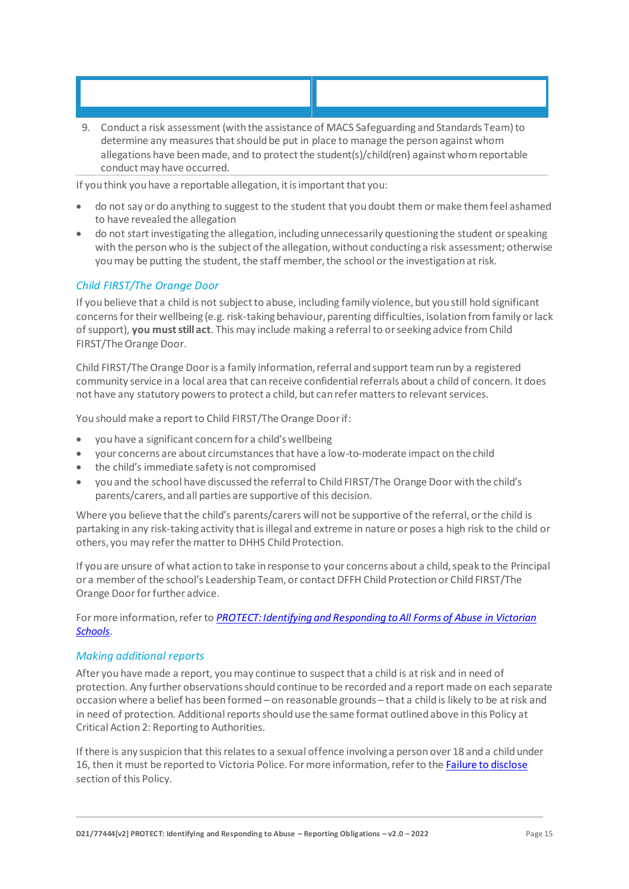9. Conduct a risk assessment (with the assistance of MACS Safeguarding and Standards Team) to determine any measures that should be put in place to manage the person against whom allegations have been made, and to protect the student(s)/child(ren) against whom reportable conduct may have occurred.

**What if a staff member or another adult informs** 

If you think you have a reportable allegation, it is important that you:

**What if a student or another child informs you** 

- do not say or do anything to suggest to the student that you doubt them or make them feel ashamed to have revealed the allegation
- do not start investigating the allegation, including unnecessarily questioning the student or speaking with the person who is the subject of the allegation, without conducting a risk assessment; otherwise you may be putting the student, the staff member, the school or the investigation at risk.

# *Child FIRST/The Orange Door*

If you believe that a child is not subject to abuse, including family violence, but you still hold significant concerns for their wellbeing (e.g. risk-taking behaviour, parenting difficulties, isolation from family or lack of support), **you must still act**. This may include making a referral to or seeking advice from Child FIRST/The Orange Door.

Child FIRST/The Orange Door is a family information, referral and support team run by a registered community service in a local area that can receive confidential referrals about a child of concern. It does not have any statutory powers to protect a child, but can refer matters to relevant services.

You should make a report to Child FIRST/The Orange Door if:

- you have a significant concern for a child's wellbeing
- your concerns are about circumstances that have a low-to-moderate impact on the child
- the child's immediate safety is not compromised
- you and the school have discussed the referral to Child FIRST/The Orange Door with the child's parents/carers, and all parties are supportive of this decision.

Where you believe that the child's parents/carers will not be supportive of the referral, or the child is partaking in any risk-taking activity that is illegal and extreme in nature or poses a high risk to the child or others, you may refer the matter to DHHS Child Protection.

If you are unsure of what action to take in response to your concerns about a child, speak to the Principal or a member of the school's Leadership Team, or contact DFFH Child Protection or Child FIRST/The Orange Door for further advice.

For more information, refer to *[PROTECT: Identifying and Responding to All Forms of Abuse in Victorian](http://www.education.vic.gov.au/Documents/about/programs/health/protect/ChildSafeStandard5_SchoolsGuide.pdf)  [Schools](http://www.education.vic.gov.au/Documents/about/programs/health/protect/ChildSafeStandard5_SchoolsGuide.pdf)*.

# *Making additional reports*

After you have made a report, you may continue to suspect that a child is at risk and in need of protection. Any further observations should continue to be recorded and a report made on each separate occasion where a belief has been formed – on reasonable grounds – that a child is likely to be at risk and in need of protection. Additional reports should use the same format outlined above in this Policy at Critical Action 2: Reporting to Authorities.

If there is any suspicion that this relates to a sexual offence involving a person over 18 and a child under 16, then it must be reported to Victoria Police. For more information, refer to th[e Failure to disclose](#page-5-0) section of this Policy.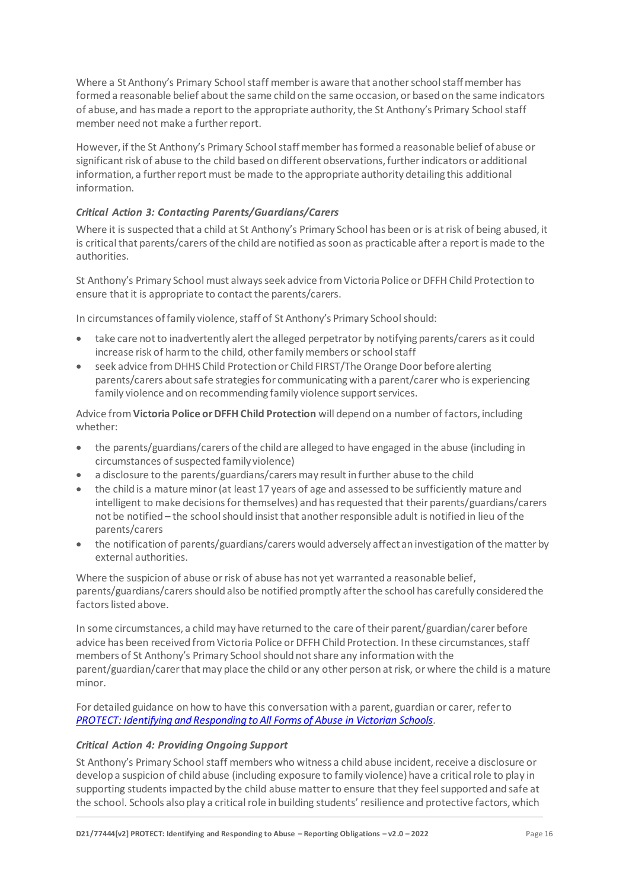Where a St Anthony's Primary School staff member is aware that another school staff member has formed a reasonable belief about the same child on the same occasion, or based on the same indicators of abuse, and has made a report to the appropriate authority, the St Anthony's Primary School staff member need not make a further report.

However, if the St Anthony's Primary School staffmember has formed a reasonable belief of abuse or significant risk of abuse to the child based on different observations, further indicators or additional information, a further report must be made to the appropriate authority detailing this additional information.

# *Critical Action 3: Contacting Parents/Guardians/Carers*

Where it is suspected that a child at St Anthony's Primary School has been or is at risk of being abused, it is critical that parents/carers of the child are notified as soon as practicable after a report is made to the authorities.

St Anthony's Primary School must always seek advice from Victoria Police or DFFH Child Protection to ensure that it is appropriate to contact the parents/carers.

In circumstances of family violence, staff of St Anthony's Primary School should:

- take care not to inadvertently alert the alleged perpetrator by notifying parents/carers as it could increase risk of harm to the child, other family members or school staff
- seek advice from DHHS Child Protection or Child FIRST/The Orange Door before alerting parents/carers about safe strategies for communicating with a parent/carer who is experiencing family violence and on recommending family violence support services.

Advice from **Victoria Police or DFFH Child Protection** will depend on a number of factors, including whether:

- the parents/guardians/carers of the child are alleged to have engaged in the abuse (including in circumstances of suspected family violence)
- a disclosure to the parents/guardians/carers may result in further abuse to the child
- the child is a mature minor (at least 17 years of age and assessed to be sufficiently mature and intelligent to make decisions for themselves) and has requested that their parents/guardians/carers not be notified – the school should insist that another responsible adult is notified in lieu of the parents/carers
- the notification of parents/guardians/carers would adversely affect an investigation of the matter by external authorities.

Where the suspicion of abuse or risk of abuse has not yet warranted a reasonable belief, parents/guardians/carers should also be notified promptly after the school has carefully considered the factors listed above.

In some circumstances, a child may have returned to the care of their parent/guardian/carer before advice has been received from Victoria Police or DFFH Child Protection. In these circumstances, staff members of St Anthony's Primary School should not share any information with the parent/guardian/carer that may place the child or any other person at risk, or where the child is a mature minor.

For detailed guidance on how to have this conversation with a parent, guardian or carer, refer to *[PROTECT: Identifying and Responding to All Forms of Abuse in Victorian Schools.](http://www.education.vic.gov.au/Documents/about/programs/health/protect/ChildSafeStandard5_SchoolsGuide.pdf)*

#### *Critical Action 4: Providing Ongoing Support*

St Anthony's Primary School staff members who witness a child abuse incident, receive a disclosure or develop a suspicion of child abuse (including exposure to family violence) have a critical role to play in supporting students impacted by the child abuse matter to ensure that they feel supported and safe at the school. Schools also play a critical role in building students' resilience and protective factors, which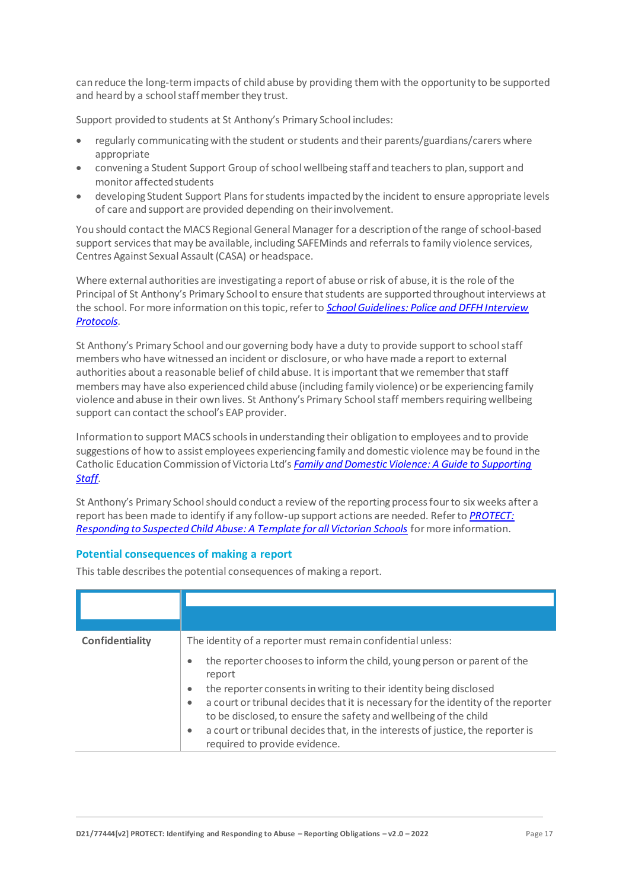can reduce the long-term impacts of child abuse by providing them with the opportunity to be supported and heard by a school staff member they trust.

Support provided to students at St Anthony's Primary School includes:

- regularly communicating with the student or students and their parents/guardians/carers where appropriate
- convening a Student Support Group of school wellbeing staff and teachers to plan, support and monitor affectedstudents
- developing Student Support Plans for students impacted by the incident to ensure appropriate levels of care and support are provided depending on theirinvolvement.

You should contact the MACS Regional General Manager for a description of the range of school-based support services that may be available, including SAFEMinds and referrals to family violence services, Centres Against Sexual Assault (CASA) or headspace.

Where external authorities are investigating a report of abuse or risk of abuse, it is the role of the Principal of St Anthony's Primary School to ensure that students are supported throughout interviews at the school. For more information on this topic, refer to *[School Guidelines: Police and DFFH](https://www.cem.edu.au/About-Us/Policies/Police-and-DHHS-Interview-Protocols.aspx) Interview [Protocols.](https://www.cem.edu.au/About-Us/Policies/Police-and-DHHS-Interview-Protocols.aspx)*

St Anthony's Primary School and our governing body have a duty to provide support to school staff members who have witnessed an incident or disclosure, or who have made a report to external authorities about a reasonable belief of child abuse. It is important that we remember that staff members may have also experienced child abuse (including family violence) or be experiencing family violence and abuse in their own lives. St Anthony's Primary School staff members requiring wellbeing support can contact the school's EAP provider.

Information to support MACS schools in understanding their obligation to employees and to provide suggestions of how to assist employees experiencing family and domestic violence may be found in the Catholic Education Commission of Victoria Ltd's *[Family and Domestic Violence: A Guide to Supporting](https://www.cecv.catholic.edu.au/Media-Files/IR/Policies-Guidelines/Family-Domestic-Violence/Guide-to-family-and-domestic-violence-(1).aspx)  [Staff](https://www.cecv.catholic.edu.au/Media-Files/IR/Policies-Guidelines/Family-Domestic-Violence/Guide-to-family-and-domestic-violence-(1).aspx)[.](http://www.cecv.catholic.edu.au/Media-Files/IR/Policies-Guidelines/Guide-to-family-and-domestic-violence.aspx)*

St Anthony's Primary School should conduct a review of the reporting process four to six weeks after a report has been made to identify if any follow-up support actions are needed. Refer to *[PROTECT:](http://www.education.vic.gov.au/Documents/about/programs/health/protect/PROTECT_Responding_TemplateSchools.pdf)  [Responding to Suspected Child Abuse: A Template for all Victorian Schools](http://www.education.vic.gov.au/Documents/about/programs/health/protect/PROTECT_Responding_TemplateSchools.pdf)* for more information.

#### **Potential consequences of making a report**

This table describes the potential consequences of making a report.

| Confidentiality | The identity of a reporter must remain confidential unless:                                                                                                                                                                                           |
|-----------------|-------------------------------------------------------------------------------------------------------------------------------------------------------------------------------------------------------------------------------------------------------|
|                 | the reporter chooses to inform the child, young person or parent of the<br>$\bullet$<br>report                                                                                                                                                        |
|                 | the reporter consents in writing to their identity being disclosed<br>$\bullet$<br>a court or tribunal decides that it is necessary for the identity of the reporter<br>$\bullet$<br>to be disclosed, to ensure the safety and wellbeing of the child |
|                 | a court or tribunal decides that, in the interests of justice, the reporter is<br>٠<br>required to provide evidence.                                                                                                                                  |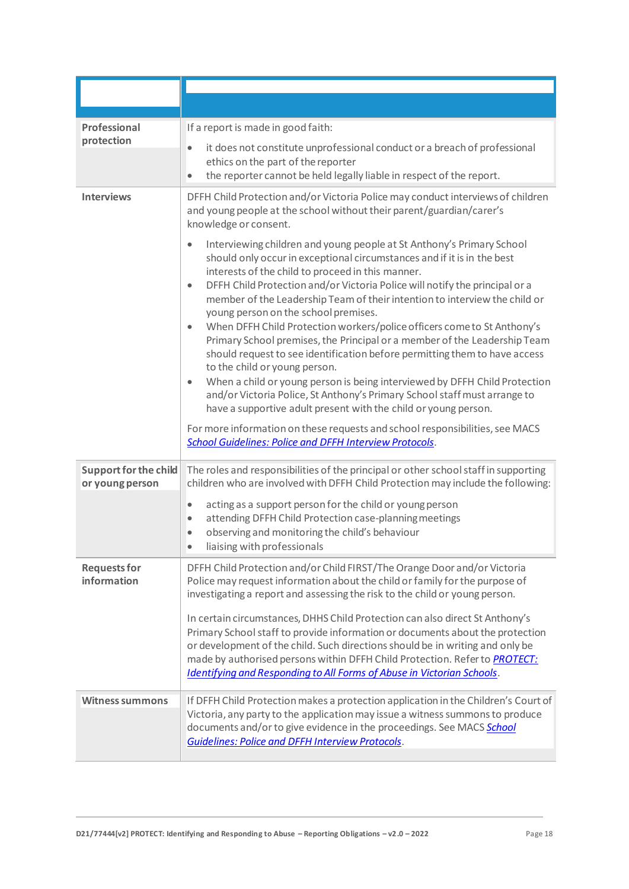| Professional<br>protection                      | If a report is made in good faith:                                                                                                                                                                                                                                                                                                                                                                                                                                                                                                                                                                                                                                                                                                                                                                                                                                                                                                                                                                                                                                                                                    |
|-------------------------------------------------|-----------------------------------------------------------------------------------------------------------------------------------------------------------------------------------------------------------------------------------------------------------------------------------------------------------------------------------------------------------------------------------------------------------------------------------------------------------------------------------------------------------------------------------------------------------------------------------------------------------------------------------------------------------------------------------------------------------------------------------------------------------------------------------------------------------------------------------------------------------------------------------------------------------------------------------------------------------------------------------------------------------------------------------------------------------------------------------------------------------------------|
|                                                 | it does not constitute unprofessional conduct or a breach of professional<br>ethics on the part of the reporter<br>the reporter cannot be held legally liable in respect of the report.                                                                                                                                                                                                                                                                                                                                                                                                                                                                                                                                                                                                                                                                                                                                                                                                                                                                                                                               |
| <b>Interviews</b>                               | DFFH Child Protection and/or Victoria Police may conduct interviews of children<br>and young people at the school without their parent/guardian/carer's<br>knowledge or consent.                                                                                                                                                                                                                                                                                                                                                                                                                                                                                                                                                                                                                                                                                                                                                                                                                                                                                                                                      |
|                                                 | Interviewing children and young people at St Anthony's Primary School<br>$\bullet$<br>should only occur in exceptional circumstances and if it is in the best<br>interests of the child to proceed in this manner.<br>DFFH Child Protection and/or Victoria Police will notify the principal or a<br>$\bullet$<br>member of the Leadership Team of their intention to interview the child or<br>young person on the school premises.<br>When DFFH Child Protection workers/police officers come to St Anthony's<br>$\bullet$<br>Primary School premises, the Principal or a member of the Leadership Team<br>should request to see identification before permitting them to have access<br>to the child or young person.<br>When a child or young person is being interviewed by DFFH Child Protection<br>$\bullet$<br>and/or Victoria Police, St Anthony's Primary School staff must arrange to<br>have a supportive adult present with the child or young person.<br>For more information on these requests and school responsibilities, see MACS<br><b>School Guidelines: Police and DFFH Interview Protocols.</b> |
| <b>Support for the child</b><br>or young person | The roles and responsibilities of the principal or other school staff in supporting<br>children who are involved with DFFH Child Protection may include the following:                                                                                                                                                                                                                                                                                                                                                                                                                                                                                                                                                                                                                                                                                                                                                                                                                                                                                                                                                |
|                                                 | acting as a support person for the child or young person<br>attending DFFH Child Protection case-planning meetings<br>$\bullet$                                                                                                                                                                                                                                                                                                                                                                                                                                                                                                                                                                                                                                                                                                                                                                                                                                                                                                                                                                                       |
|                                                 | observing and monitoring the child's behaviour<br>liaising with professionals                                                                                                                                                                                                                                                                                                                                                                                                                                                                                                                                                                                                                                                                                                                                                                                                                                                                                                                                                                                                                                         |
| <b>Requests for</b><br>information              | DFFH Child Protection and/or Child FIRST/The Orange Door and/or Victoria<br>Police may request information about the child or family for the purpose of<br>investigating a report and assessing the risk to the child or young person.<br>In certain circumstances, DHHS Child Protection can also direct St Anthony's<br>Primary School staff to provide information or documents about the protection<br>or development of the child. Such directions should be in writing and only be<br>made by authorised persons within DFFH Child Protection. Refer to PROTECT:<br><b>Identifying and Responding to All Forms of Abuse in Victorian Schools.</b>                                                                                                                                                                                                                                                                                                                                                                                                                                                               |
| <b>Witness summons</b>                          | If DFFH Child Protection makes a protection application in the Children's Court of<br>Victoria, any party to the application may issue a witness summons to produce<br>documents and/or to give evidence in the proceedings. See MACS School<br><b>Guidelines: Police and DFFH Interview Protocols.</b>                                                                                                                                                                                                                                                                                                                                                                                                                                                                                                                                                                                                                                                                                                                                                                                                               |